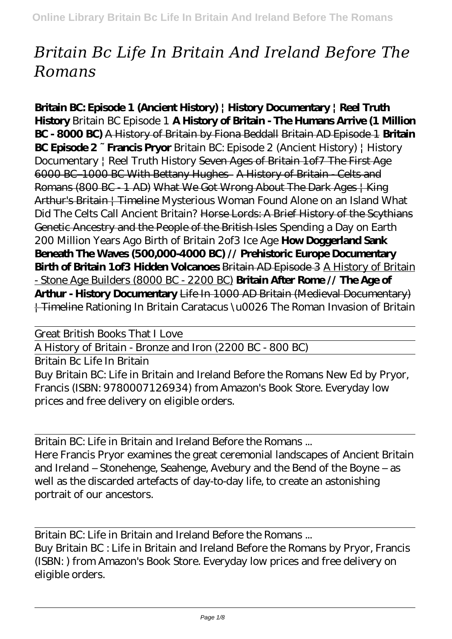## *Britain Bc Life In Britain And Ireland Before The Romans*

**Britain BC: Episode 1 (Ancient History) | History Documentary | Reel Truth History** *Britain BC Episode 1* **A History of Britain - The Humans Arrive (1 Million BC - 8000 BC)** A History of Britain by Fiona Beddall Britain AD Episode 1 **Britain BC Episode 2 ~ Francis Pryor** *Britain BC: Episode 2 (Ancient History) | History Documentary | Reel Truth History* Seven Ages of Britain 1of7 The First Age 6000 BC–1000 BC With Bettany Hughes A History of Britain - Celts and Romans (800 BC - 1 AD) What We Got Wrong About The Dark Ages | King Arthur's Britain | Timeline *Mysterious Woman Found Alone on an Island What Did The Celts Call Ancient Britain?* Horse Lords: A Brief History of the Scythians Genetic Ancestry and the People of the British Isles Spending a Day on Earth 200 Million Years Ago *Birth of Britain 2of3 Ice Age* **How Doggerland Sank Beneath The Waves (500,000-4000 BC) // Prehistoric Europe Documentary Birth of Britain 1of3 Hidden Volcanoes** Britain AD Episode 3 A History of Britain - Stone Age Builders (8000 BC - 2200 BC) **Britain After Rome // The Age of Arthur - History Documentary** Life In 1000 AD Britain (Medieval Documentary) | Timeline *Rationing In Britain Caratacus \u0026 The Roman Invasion of Britain*

Great British Books That I Love

A History of Britain - Bronze and Iron (2200 BC - 800 BC)

Britain Bc Life In Britain

Buy Britain BC: Life in Britain and Ireland Before the Romans New Ed by Pryor, Francis (ISBN: 9780007126934) from Amazon's Book Store. Everyday low prices and free delivery on eligible orders.

Britain BC: Life in Britain and Ireland Before the Romans ... Here Francis Pryor examines the great ceremonial landscapes of Ancient Britain and Ireland – Stonehenge, Seahenge, Avebury and the Bend of the Boyne – as well as the discarded artefacts of day-to-day life, to create an astonishing portrait of our ancestors.

Britain BC: Life in Britain and Ireland Before the Romans ... Buy Britain BC : Life in Britain and Ireland Before the Romans by Pryor, Francis (ISBN: ) from Amazon's Book Store. Everyday low prices and free delivery on eligible orders.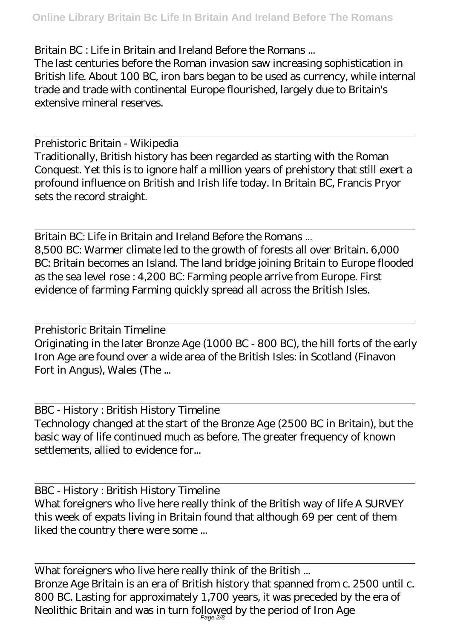Britain BC : Life in Britain and Ireland Before the Romans ...

The last centuries before the Roman invasion saw increasing sophistication in British life. About 100 BC, iron bars began to be used as currency, while internal trade and trade with continental Europe flourished, largely due to Britain's extensive mineral reserves.

Prehistoric Britain - Wikipedia

Traditionally, British history has been regarded as starting with the Roman Conquest. Yet this is to ignore half a million years of prehistory that still exert a profound influence on British and Irish life today. In Britain BC, Francis Pryor sets the record straight.

Britain BC: Life in Britain and Ireland Before the Romans ... 8,500 BC: Warmer climate led to the growth of forests all over Britain. 6,000 BC: Britain becomes an Island. The land bridge joining Britain to Europe flooded as the sea level rose : 4,200 BC: Farming people arrive from Europe. First evidence of farming Farming quickly spread all across the British Isles.

Prehistoric Britain Timeline Originating in the later Bronze Age (1000 BC - 800 BC), the hill forts of the early Iron Age are found over a wide area of the British Isles: in Scotland (Finavon Fort in Angus), Wales (The ...

BBC - History : British History Timeline Technology changed at the start of the Bronze Age (2500 BC in Britain), but the basic way of life continued much as before. The greater frequency of known settlements, allied to evidence for...

BBC - History : British History Timeline What foreigners who live here really think of the British way of life A SURVEY this week of expats living in Britain found that although 69 per cent of them liked the country there were some ...

What foreigners who live here really think of the British ... Bronze Age Britain is an era of British history that spanned from c. 2500 until c. 800 BC. Lasting for approximately 1,700 years, it was preceded by the era of Neolithic Britain and was in turn followed by the period of Iron Age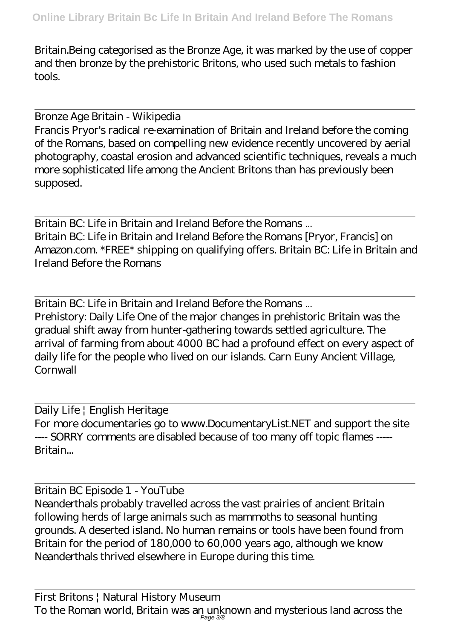Britain.Being categorised as the Bronze Age, it was marked by the use of copper and then bronze by the prehistoric Britons, who used such metals to fashion tools.

Bronze Age Britain - Wikipedia

Francis Pryor's radical re-examination of Britain and Ireland before the coming of the Romans, based on compelling new evidence recently uncovered by aerial photography, coastal erosion and advanced scientific techniques, reveals a much more sophisticated life among the Ancient Britons than has previously been supposed.

Britain BC: Life in Britain and Ireland Before the Romans ... Britain BC: Life in Britain and Ireland Before the Romans [Pryor, Francis] on Amazon.com. \*FREE\* shipping on qualifying offers. Britain BC: Life in Britain and Ireland Before the Romans

Britain BC: Life in Britain and Ireland Before the Romans ... Prehistory: Daily Life One of the major changes in prehistoric Britain was the gradual shift away from hunter-gathering towards settled agriculture. The arrival of farming from about 4000 BC had a profound effect on every aspect of daily life for the people who lived on our islands. Carn Euny Ancient Village, **Cornwall** 

Daily Life | English Heritage For more documentaries go to www.DocumentaryList.NET and support the site ---- SORRY comments are disabled because of too many off topic flames ----- Britain...

Britain BC Episode 1 - YouTube

Neanderthals probably travelled across the vast prairies of ancient Britain following herds of large animals such as mammoths to seasonal hunting grounds. A deserted island. No human remains or tools have been found from Britain for the period of 180,000 to 60,000 years ago, although we know Neanderthals thrived elsewhere in Europe during this time.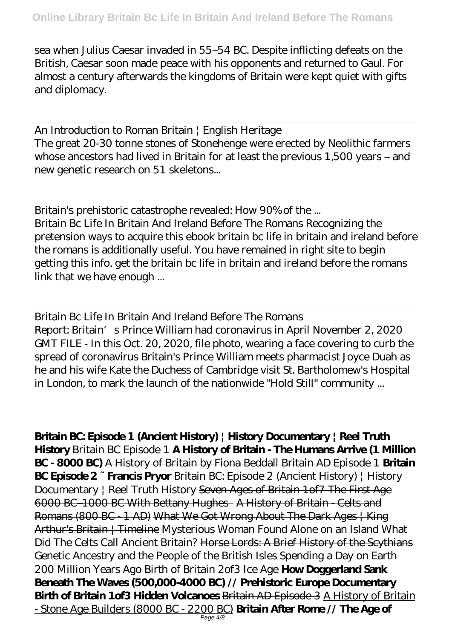sea when Julius Caesar invaded in 55–54 BC. Despite inflicting defeats on the British, Caesar soon made peace with his opponents and returned to Gaul. For almost a century afterwards the kingdoms of Britain were kept quiet with gifts and diplomacy.

An Introduction to Roman Britain | English Heritage The great 20-30 tonne stones of Stonehenge were erected by Neolithic farmers whose ancestors had lived in Britain for at least the previous 1,500 years – and new genetic research on 51 skeletons...

Britain's prehistoric catastrophe revealed: How 90% of the ... Britain Bc Life In Britain And Ireland Before The Romans Recognizing the pretension ways to acquire this ebook britain bc life in britain and ireland before the romans is additionally useful. You have remained in right site to begin getting this info. get the britain bc life in britain and ireland before the romans link that we have enough ...

Britain Bc Life In Britain And Ireland Before The Romans Report: Britain's Prince William had coronavirus in April November 2, 2020 GMT FILE - In this Oct. 20, 2020, file photo, wearing a face covering to curb the spread of coronavirus Britain's Prince William meets pharmacist Joyce Duah as he and his wife Kate the Duchess of Cambridge visit St. Bartholomew's Hospital in London, to mark the launch of the nationwide "Hold Still" community ...

**Britain BC: Episode 1 (Ancient History) | History Documentary | Reel Truth History** *Britain BC Episode 1* **A History of Britain - The Humans Arrive (1 Million BC - 8000 BC)** A History of Britain by Fiona Beddall Britain AD Episode 1 **Britain BC Episode 2 ~ Francis Pryor** *Britain BC: Episode 2 (Ancient History) | History Documentary | Reel Truth History* Seven Ages of Britain 1of7 The First Age 6000 BC–1000 BC With Bettany Hughes A History of Britain - Celts and Romans (800 BC - 1 AD) What We Got Wrong About The Dark Ages | King Arthur's Britain | Timeline *Mysterious Woman Found Alone on an Island What Did The Celts Call Ancient Britain?* Horse Lords: A Brief History of the Scythians Genetic Ancestry and the People of the British Isles Spending a Day on Earth 200 Million Years Ago *Birth of Britain 2of3 Ice Age* **How Doggerland Sank Beneath The Waves (500,000-4000 BC) // Prehistoric Europe Documentary Birth of Britain 1of3 Hidden Volcanoes** Britain AD Episode 3 A History of Britain - Stone Age Builders (8000 BC - 2200 BC) **Britain After Rome // The Age of**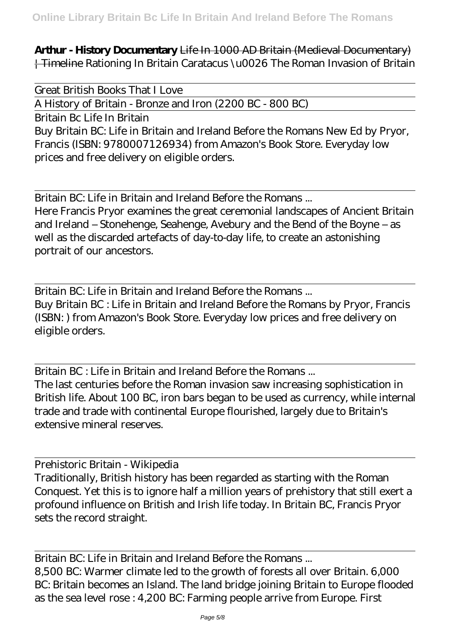**Arthur - History Documentary** Life In 1000 AD Britain (Medieval Documentary) | Timeline *Rationing In Britain Caratacus \u0026 The Roman Invasion of Britain*

Great British Books That I Love

A History of Britain - Bronze and Iron (2200 BC - 800 BC)

Britain Bc Life In Britain

Buy Britain BC: Life in Britain and Ireland Before the Romans New Ed by Pryor, Francis (ISBN: 9780007126934) from Amazon's Book Store. Everyday low prices and free delivery on eligible orders.

Britain BC: Life in Britain and Ireland Before the Romans ...

Here Francis Pryor examines the great ceremonial landscapes of Ancient Britain and Ireland – Stonehenge, Seahenge, Avebury and the Bend of the Boyne – as well as the discarded artefacts of day-to-day life, to create an astonishing portrait of our ancestors.

Britain BC: Life in Britain and Ireland Before the Romans ... Buy Britain BC : Life in Britain and Ireland Before the Romans by Pryor, Francis (ISBN: ) from Amazon's Book Store. Everyday low prices and free delivery on eligible orders.

Britain BC : Life in Britain and Ireland Before the Romans ... The last centuries before the Roman invasion saw increasing sophistication in British life. About 100 BC, iron bars began to be used as currency, while internal trade and trade with continental Europe flourished, largely due to Britain's extensive mineral reserves.

Prehistoric Britain - Wikipedia

Traditionally, British history has been regarded as starting with the Roman Conquest. Yet this is to ignore half a million years of prehistory that still exert a profound influence on British and Irish life today. In Britain BC, Francis Pryor sets the record straight.

Britain BC: Life in Britain and Ireland Before the Romans ... 8,500 BC: Warmer climate led to the growth of forests all over Britain. 6,000 BC: Britain becomes an Island. The land bridge joining Britain to Europe flooded as the sea level rose : 4,200 BC: Farming people arrive from Europe. First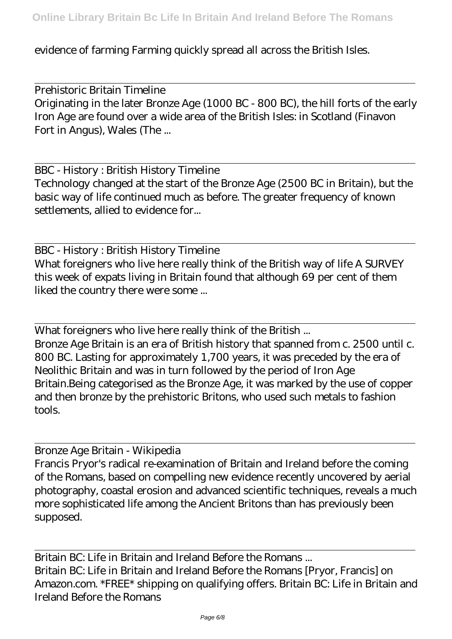evidence of farming Farming quickly spread all across the British Isles.

Prehistoric Britain Timeline Originating in the later Bronze Age (1000 BC - 800 BC), the hill forts of the early Iron Age are found over a wide area of the British Isles: in Scotland (Finavon Fort in Angus), Wales (The ...

BBC - History : British History Timeline Technology changed at the start of the Bronze Age (2500 BC in Britain), but the basic way of life continued much as before. The greater frequency of known settlements, allied to evidence for...

BBC - History : British History Timeline What foreigners who live here really think of the British way of life A SURVEY this week of expats living in Britain found that although 69 per cent of them liked the country there were some ...

What foreigners who live here really think of the British ... Bronze Age Britain is an era of British history that spanned from c. 2500 until c. 800 BC. Lasting for approximately 1,700 years, it was preceded by the era of Neolithic Britain and was in turn followed by the period of Iron Age Britain.Being categorised as the Bronze Age, it was marked by the use of copper and then bronze by the prehistoric Britons, who used such metals to fashion tools.

Bronze Age Britain - Wikipedia Francis Pryor's radical re-examination of Britain and Ireland before the coming of the Romans, based on compelling new evidence recently uncovered by aerial photography, coastal erosion and advanced scientific techniques, reveals a much more sophisticated life among the Ancient Britons than has previously been supposed.

Britain BC: Life in Britain and Ireland Before the Romans ... Britain BC: Life in Britain and Ireland Before the Romans [Pryor, Francis] on Amazon.com. \*FREE\* shipping on qualifying offers. Britain BC: Life in Britain and Ireland Before the Romans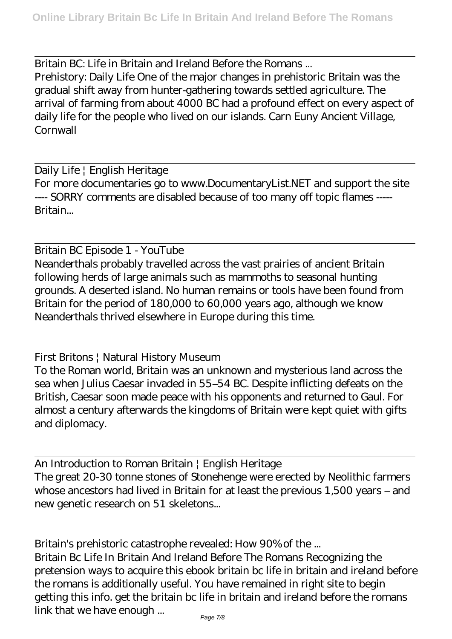Britain BC: Life in Britain and Ireland Before the Romans ... Prehistory: Daily Life One of the major changes in prehistoric Britain was the gradual shift away from hunter-gathering towards settled agriculture. The arrival of farming from about 4000 BC had a profound effect on every aspect of daily life for the people who lived on our islands. Carn Euny Ancient Village, **Cornwall** 

Daily Life | English Heritage For more documentaries go to www.DocumentaryList.NET and support the site ---- SORRY comments are disabled because of too many off topic flames ----- Britain...

Britain BC Episode 1 - YouTube Neanderthals probably travelled across the vast prairies of ancient Britain following herds of large animals such as mammoths to seasonal hunting grounds. A deserted island. No human remains or tools have been found from Britain for the period of 180,000 to 60,000 years ago, although we know Neanderthals thrived elsewhere in Europe during this time.

First Britons | Natural History Museum

To the Roman world, Britain was an unknown and mysterious land across the sea when Julius Caesar invaded in 55–54 BC. Despite inflicting defeats on the British, Caesar soon made peace with his opponents and returned to Gaul. For almost a century afterwards the kingdoms of Britain were kept quiet with gifts and diplomacy.

An Introduction to Roman Britain | English Heritage The great 20-30 tonne stones of Stonehenge were erected by Neolithic farmers whose ancestors had lived in Britain for at least the previous 1,500 years – and new genetic research on 51 skeletons...

Britain's prehistoric catastrophe revealed: How 90% of the ... Britain Bc Life In Britain And Ireland Before The Romans Recognizing the pretension ways to acquire this ebook britain bc life in britain and ireland before the romans is additionally useful. You have remained in right site to begin getting this info. get the britain bc life in britain and ireland before the romans link that we have enough ...